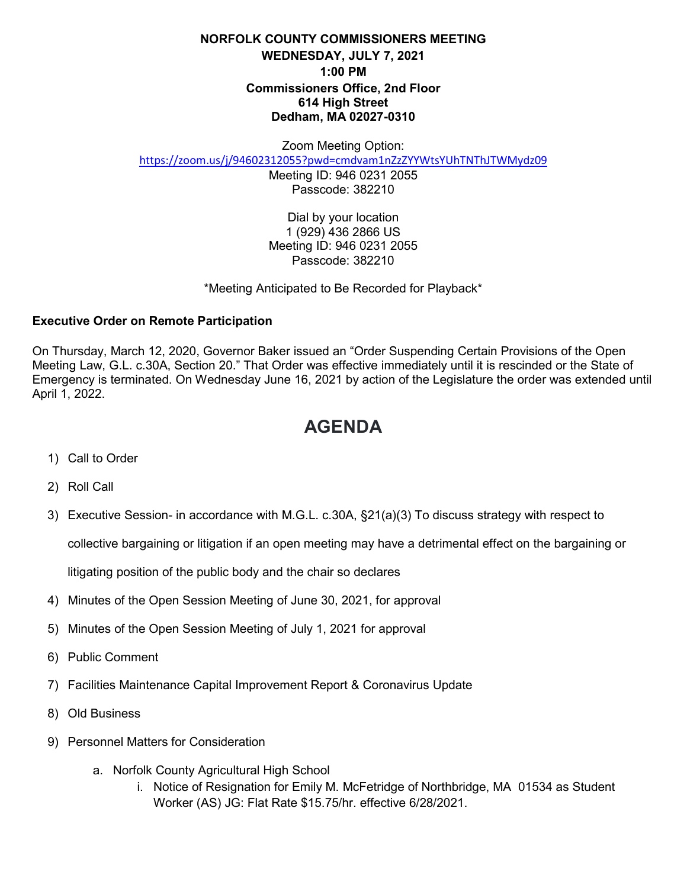## **NORFOLK COUNTY COMMISSIONERS MEETING WEDNESDAY, JULY 7, 2021 1:00 PM Commissioners Office, 2nd Floor 614 High Street Dedham, MA 02027-0310**

Zoom Meeting Option:

<https://zoom.us/j/94602312055?pwd=cmdvam1nZzZYYWtsYUhTNThJTWMydz09>

Meeting ID: 946 0231 2055 Passcode: 382210

Dial by your location 1 (929) 436 2866 US Meeting ID: 946 0231 2055 Passcode: 382210

\*Meeting Anticipated to Be Recorded for Playback\*

## **Executive Order on Remote Participation**

On Thursday, March 12, 2020, Governor Baker issued an "Order Suspending Certain Provisions of the Open Meeting Law, G.L. c.30A, Section 20." That Order was effective immediately until it is rescinded or the State of Emergency is terminated. On Wednesday June 16, 2021 by action of the Legislature the order was extended until April 1, 2022.

## **AGENDA**

- 1) Call to Order
- 2) Roll Call
- 3) Executive Session- in accordance with M.G.L. c.30A, §21(a)(3) To discuss strategy with respect to

collective bargaining or litigation if an open meeting may have a detrimental effect on the bargaining or

litigating position of the public body and the chair so declares

- 4) Minutes of the Open Session Meeting of June 30, 2021, for approval
- 5) Minutes of the Open Session Meeting of July 1, 2021 for approval
- 6) Public Comment
- 7) Facilities Maintenance Capital Improvement Report & Coronavirus Update
- 8) Old Business
- 9) Personnel Matters for Consideration
	- a. Norfolk County Agricultural High School
		- i. Notice of Resignation for Emily M. McFetridge of Northbridge, MA 01534 as Student Worker (AS) JG: Flat Rate \$15.75/hr. effective 6/28/2021.